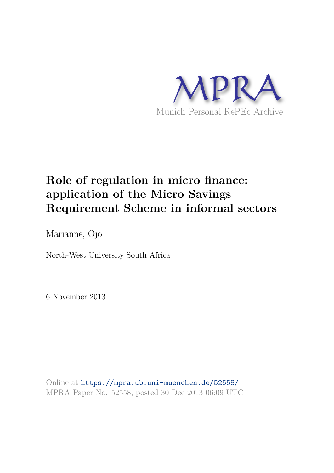

# **Role of regulation in micro finance: application of the Micro Savings Requirement Scheme in informal sectors**

Marianne, Ojo

North-West University South Africa

6 November 2013

Online at https://mpra.ub.uni-muenchen.de/52558/ MPRA Paper No. 52558, posted 30 Dec 2013 06:09 UTC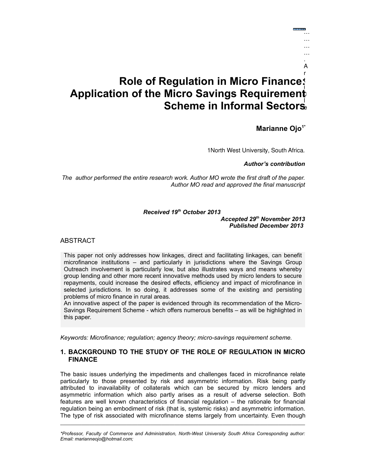#### **Role of Regulation in Micro Finance:**  t **Application of the Micro Savings Requirement**  i **Scheme in Informal Sectors** l r c e

# **Marianne Ojo1\***

… … … … . A

1North West University, South Africa*.*

*Author's contribution*

*The author performed the entire research work. Author MO wrote the first draft of the paper. Author MO read and approved the final manuscript*

#### *Received 19th October 2013*

*Accepted 29th November 2013 Published December 2013* 

ABSTRACT

This paper not only addresses how linkages, direct and facilitating linkages, can benefit microfinance institutions – and particularly in jurisdictions where the Savings Group Outreach involvement is particularly low, but also illustrates ways and means whereby group lending and other more recent innovative methods used by micro lenders to secure repayments, could increase the desired effects, efficiency and impact of microfinance in selected jurisdictions. In so doing, it addresses some of the existing and persisting problems of micro finance in rural areas.

An innovative aspect of the paper is evidenced through its recommendation of the Micro-Savings Requirement Scheme - which offers numerous benefits – as will be highlighted in this paper.

*Keywords: Microfinance; regulation; agency theory; micro-savings requirement scheme.*

# **1. BACKGROUND TO THE STUDY OF THE ROLE OF REGULATION IN MICRO FINANCE**

The basic issues underlying the impediments and challenges faced in microfinance relate particularly to those presented by risk and asymmetric information. Risk being partly attributed to inavailability of collaterals which can be secured by micro lenders and asymmetric information which also partly arises as a result of adverse selection. Both features are well known characteristics of financial regulation – the rationale for financial regulation being an embodiment of risk (that is, systemic risks) and asymmetric information. The type of risk associated with microfinance stems largely from uncertainty. Even though

*\*Professor, Faculty of Commerce and Administration, North-West University South Africa Corresponding author: Email: marianneojo@hotmail.com;*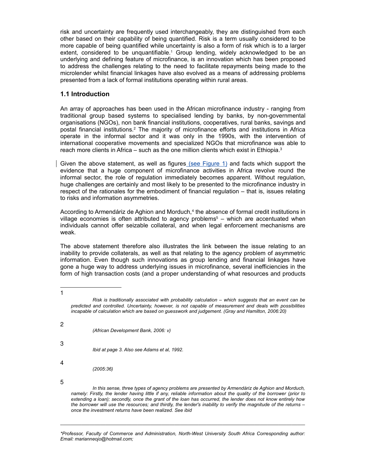risk and uncertainty are frequently used interchangeably, they are distinguished from each other based on their capability of being quantified. Risk is a term usually considered to be more capable of being quantified while uncertainty is also a form of risk which is to a larger extent, considered to be unquantifiable.<sup>1</sup> Group lending, widely acknowledged to be an underlying and defining feature of microfinance, is an innovation which has been proposed to address the challenges relating to the need to facilitate repayments being made to the microlender whilst financial linkages have also evolved as a means of addressing problems presented from a lack of formal institutions operating within rural areas.

# **1.1 Introduction**

An array of approaches has been used in the African microfinance industry - ranging from traditional group based systems to specialised lending by banks, by non-governmental organisations (NGOs), non bank financial institutions, cooperatives, rural banks, savings and postal financial institutions.<sup>2</sup> The majority of microfinance efforts and institutions in Africa operate in the informal sector and it was only in the 1990s, with the intervention of international cooperative movements and specialized NGOs that microfinance was able to reach more clients in Africa – such as the one million clients which exist in Ethiopia.<sup>3</sup>

Given the above statement, as well as figures (see Figure 1) and facts which support the evidence that a huge component of microfinance activities in Africa revolve round the informal sector, the role of regulation immediately becomes apparent. Without regulation, huge challenges are certainly and most likely to be presented to the microfinance industry in respect of the rationales for the embodiment of financial regulation – that is, issues relating to risks and information asymmetries.

According to Armendáriz de Aghion and Morduch,<sup>4</sup> the absence of formal credit institutions in village economies is often attributed to agency problems<sup>5</sup> – which are accentuated when individuals cannot offer seizable collateral, and when legal enforcement mechanisms are weak.

The above statement therefore also illustrates the link between the issue relating to an inability to provide collaterals, as well as that relating to the agency problem of asymmetric information. Even though such innovations as group lending and financial linkages have gone a huge way to address underlying issues in microfinance, several inefficiencies in the form of high transaction costs (and a proper understanding of what resources and products

|   | Risk is traditionally associated with probability calculation $-$ which suggests that an event can be<br>predicted and controlled. Uncertainty, however, is not capable of measurement and deals with possibilities<br>incapable of calculation which are based on quesswork and judgement. (Gray and Hamilton, 2006:20) |
|---|--------------------------------------------------------------------------------------------------------------------------------------------------------------------------------------------------------------------------------------------------------------------------------------------------------------------------|
| 2 |                                                                                                                                                                                                                                                                                                                          |
|   | (African Development Bank, 2006: v)                                                                                                                                                                                                                                                                                      |
| 3 |                                                                                                                                                                                                                                                                                                                          |
|   | Ibid at page 3. Also see Adams et al. 1992.                                                                                                                                                                                                                                                                              |
| 4 |                                                                                                                                                                                                                                                                                                                          |
|   | (2005:36)                                                                                                                                                                                                                                                                                                                |
| 5 |                                                                                                                                                                                                                                                                                                                          |
|   | In this sense, three types of agency problems are presented by Armendáriz de Aghion and Morduch,                                                                                                                                                                                                                         |
|   | namely: Firstly the lender having little if any reliable information about the quality of the borrower (prior to                                                                                                                                                                                                         |

*namely: Firstly, the lender having little if any, reliable information about the quality of the borrower (prior to extending a loan); secondly, once the grant of the loan has occurred, the lender does not know entirely how the borrower will use the resources; and thirdly, the lender's inability to verify the magnitude of the returns – once the investment returns have been realized. See ibid* 

*\*Professor, Faculty of Commerce and Administration, North-West University South Africa Corresponding author: Email: marianneojo@hotmail.com;*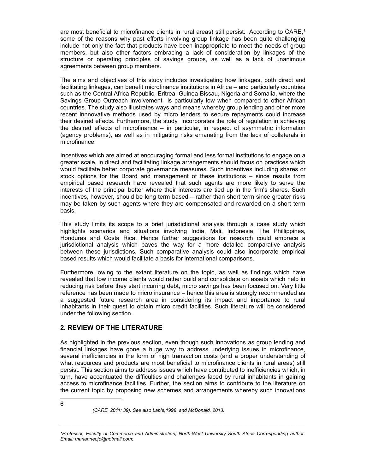are most beneficial to microfinance clients in rural areas) still persist. According to CARE,<sup>6</sup> some of the reasons why past efforts involving group linkage has been quite challenging include not only the fact that products have been inappropriate to meet the needs of group members, but also other factors embracing a lack of consideration by linkages of the structure or operating principles of savings groups, as well as a lack of unanimous agreements between group members.

The aims and objectives of this study includes investigating how linkages, both direct and facilitating linkages, can benefit microfinance institutions in Africa – and particularly countries such as the Central Africa Republic, Eritrea, Guinea Bissau, Nigeria and Somalia, where the Savings Group Outreach involvement is particularly low when compared to other African countries. The study also illustrates ways and means whereby group lending and other more recent innnovative methods used by micro lenders to secure repayments could increase their desired effects. Furthermore, the study incorporates the role of regulation in achieving the desired effects of microfinance – in particular, in respect of asymmetric information (agency problems), as well as in mitigating risks emanating from the lack of collaterals in microfinance.

Incentives which are aimed at encouraging formal and less formal institutions to engage on a greater scale, in direct and facilitating linkage arrangements should focus on practices which would facilitate better corporate governance measures. Such incentives including shares or stock options for the Board and management of these institutions – since results from empirical based research have revealed that such agents are more likely to serve the interests of the principal better where their interests are tied up in the firm's shares. Such incentives, however, should be long term based – rather than short term since greater risks may be taken by such agents where they are compensated and rewarded on a short term basis.

This study limits its scope to a brief jurisdictional analysis through a case study which highlights scenarios and situations involving India, Mali, Indonesia, The Phillippines, Honduras and Costa Rica. Hence further suggestions for research could embrace a jurisdictional analysis which paves the way for a more detailed comparative analysis between these jurisdictions. Such comparative analysis could also incorporate empirical based results which would facilitate a basis for international comparisons.

Furthermore, owing to the extant literature on the topic, as well as findings which have revealed that low income clients would rather build and consolidate on assets which help in reducing risk before they start incurring debt, micro savings has been focused on. Very little reference has been made to micro insurance – hence this area is strongly recommended as a suggested future research area in considering its impact and importance to rural inhabitants in their quest to obtain micro credit facilities. Such literature will be considered under the following section.

## **2. REVIEW OF THE LITERATURE**

As highlighted in the previous section, even though such innovations as group lending and financial linkages have gone a huge way to address underlying issues in microfinance, several inefficiencies in the form of high transaction costs (and a proper understanding of what resources and products are most beneficial to microfinance clients in rural areas) still persist. This section aims to address issues which have contributed to inefficiencies which, in turn, have accentuated the difficulties and challenges faced by rural inhabitants in gaining access to microfinance facilities. Further, the section aims to contribute to the literature on the current topic by proposing new schemes and arrangements whereby such innovations

6

*(CARE, 2011: 39). See also Labie,1998 and McDonald, 2013.*

*<sup>\*</sup>Professor, Faculty of Commerce and Administration, North-West University South Africa Corresponding author: Email: marianneojo@hotmail.com;*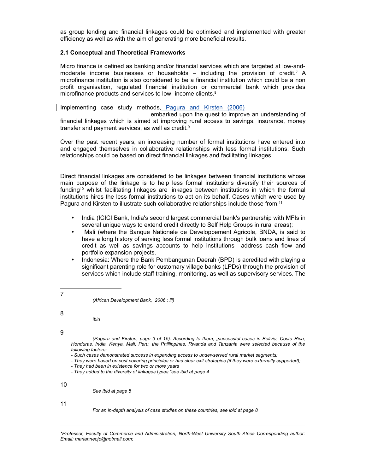as group lending and financial linkages could be optimised and implemented with greater efficiency as well as with the aim of generating more beneficial results.

#### **2.1 Conceptual and Theoretical Frameworks**

Micro finance is defined as banking and/or financial services which are targeted at low-andmoderate income businesses or households  $-$  including the provision of credit.<sup>7</sup> A microfinance institution is also considered to be a financial institution which could be a non profit organisation, regulated financial institution or commercial bank which provides microfinance products and services to low- income clients.<sup>8</sup>

Implementing case study methods, Pagura and Kirsten (2006)

embarked upon the quest to improve an understanding of financial linkages which is aimed at improving rural access to savings, insurance, money transfer and payment services, as well as credit.<sup>9</sup>

Over the past recent years, an increasing number of formal institutions have entered into and engaged themselves in collaborative relationships with less formal institutions. Such relationships could be based on direct financial linkages and facilitating linkages.

Direct financial linkages are considered to be linkages between financial institutions whose main purpose of the linkage is to help less formal institutions diversify their sources of funding<sup>10</sup> whilst facilitating linkages are linkages between institutions in which the formal institutions hires the less formal institutions to act on its behalf. Cases which were used by Pagura and Kirsten to illustrate such collaborative relationships include those from:<sup>11</sup>

- India (ICICI Bank, India's second largest commercial bank's partnership with MFIs in several unique ways to extend credit directly to Self Help Groups in rural areas);
- Mali (where the Banque Nationale de Developpement Agricole, BNDA, is said to have a long history of serving less formal institutions through bulk loans and lines of credit as well as savings accounts to help institutions address cash flow and portfolio expansion projects.
- Indonesia: Where the Bank Pembangunan Daerah (BPD) is acredited with playing a significant parenting role for customary village banks (LPDs) through the provision of services which include staff training, monitoring, as well as supervisory services. The
- 7

*(African Development Bank, 2006 : iii)*

8

*ibid*

9

*(Pagura and Kirsten, page 3 of 15). According to them, "successful cases in Bolivia, Costa Rica, Honduras, India, Kenya, Mali, Peru, the Phillippines, Rwanda and Tanzania were selected because of the following factors:*

- *They were based on cost covering principles or had clear exit strategies (if they were externally supported);*
- *They had been in existence for two or more years*
- *They added to the diversity of linkages types."see ibid at page 4*

*See ibid at page 5*

11

*For an in-depth analysis of case studies on these countries, see ibid at page 8*

*\*Professor, Faculty of Commerce and Administration, North-West University South Africa Corresponding author: Email: marianneojo@hotmail.com;*

*<sup>-</sup> Such cases demonstrated success in expanding access to under-served rural market segments;*

<sup>10</sup>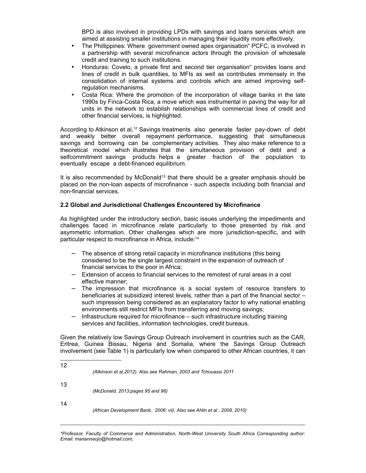BPD is also involved in providing LPDs with savings and loans services which are aimed at assisting smaller institutions in managing their liquidity more effectively.

- The Phillippines: Where government owned apex organisation "PCFC, is involved in a partnership with several microfinance actors through the provision of wholesale credit and training to such institutions.
- Honduras: Covelo, a private first and second tier organisation" provides loans and lines of credit in bulk quantities, to MFIs as well as contributes immensely in the consolidation of internal systems and controls which are aimed improving selfregulation mechanisms.
- Costa Rica: Where the promotion of the incorporation of village banks in the late 1990s by Finca-Costa Rica, a move which was instrumental in paving the way for all units in the network to establish relationships with commercial lines of credit and other financial services, is highlighted.

According to Atkinson et al,<sup>12</sup> Savings treatments also generate faster pay-down of debt and weakly better overall repayment performance, suggesting that simultaneous savings and borrowing can be complementary activities. They also make reference to a theoretical model which illustrates that the simultaneous provision of debt and a selfcommitment savings products helps a greater fraction of the population to eventually escape a debt-financed equilibrium.

It is also recommended by McDonald<sup>13</sup> that there should be a greater emphasis should be placed on the non-loan aspects of microfinance - such aspects including both financial and non-financial services.

#### **2.2 Global and Jurisdictional Challenges Encountered by Microfinance**

As highlighted under the introductory section, basic issues underlying the impediments and challenges faced in microfinance relate particularly to those presented by risk and asymmetric information. Other challenges which are more jurisdiction-specific, and with particular respect to microfinance in Africa, include:<sup>14</sup>

- − The absence of strong retail capacity in microfinance institutions (this being considered to be the single largest constraint in the expansion of outreach of financial services to the poor in Africa;
- − Extension of access to financial services to the remotest of rural areas in a cost effective manner;
- The impression that microfinance is a social system of resource transfers to beneficiaries at subsidized interest levels, rather than a part of the financial sector – such impression being considered as an explanatory factor to why national enabling environments still restrict MFIs from transferring and moving savings;
- − Infrastructure required for microfinance such infrastructure including training services and facilities, information technologies, credit bureaus.

Given the relatively low Savings Group Outreach involvement in countries such as the CAR, Eritrea, Guinea Bissau, Nigeria and Somalia, where the Savings Group Outreach involvement (see Table 1) is particularly low when compared to other African countries, it can

| 12 | (Atkinson et al, 2012). Also see Rahman, 2003 and Tchouassi 2011          |
|----|---------------------------------------------------------------------------|
| 13 | (McDonald, 2013: pages 95 and 96)                                         |
| 14 | (African Development Bank, 2006: vii). Also see Ahlin et al , 2008, 2010) |

*\*Professor, Faculty of Commerce and Administration, North-West University South Africa Corresponding author: Email: marianneojo@hotmail.com;*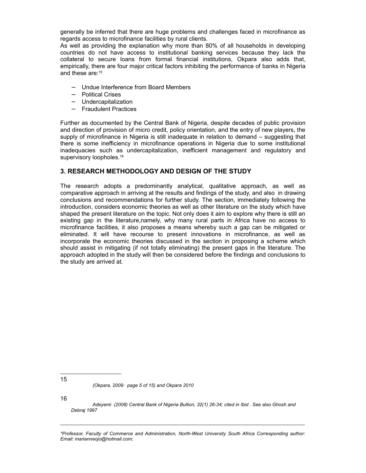generally be inferred that there are huge problems and challenges faced in microfinance as regards access to microfinance facilities by rural clients.

As well as providing the explanation why more than 80% of all households in developing countries do not have access to institutional banking services because they lack the collateral to secure loans from formal financial institutions, Okpara also adds that, empirically, there are four major critical factors inhibiting the performance of banks in Nigeria and these are:<sup>15</sup>

- − Undue Interference from Board Members
- − Political Crises
- − Undercapitalization
- − Fraudulent Practices

Further as documented by the Central Bank of Nigeria, despite decades of public provision and direction of provision of micro credit, policy orientation, and the entry of new players, the supply of microfinance in Nigeria is still inadequate in relation to demand – suggesting that there is some inefficiency in microfinance operations in Nigeria due to some institutional inadequacies such as undercapitalization, inefficient management and regulatory and supervisory loopholes.<sup>16</sup>

## **3. RESEARCH METHODOLOGY AND DESIGN OF THE STUDY**

The research adopts a predominantly analytical, qualitative approach, as well as comparative approach in arriving at the results and findings of the study, and also in drawing conclusions and recommendations for further study. The section, immediately following the introduction, considers economic theories as well as other literature on the study which have shaped the present literature on the topic. Not only does it aim to explore why there is still an existing gap in the literature,namely, why many rural parts in Africa have no access to microfinance facilities, it also proposes a means whereby such a gap can be mitigated or eliminated. It will have recourse to present innovations in microfinance, as well as incorporate the economic theories discussed in the section in proposing a scheme which should assist in mitigating (if not totally eliminating) the present gaps in the literature. The approach adopted in the study will then be considered before the findings and conclusions to the study are arrived at.

*(Okpara, 2009: page 5 of 15) and Okpara 2010*

16

*Adeyemi (2008) Central Bank of Nigeria Bullion, 32(1) 26-34; cited in Ibid . See also Ghosh and Debraj 1997*

<sup>15</sup>

*<sup>\*</sup>Professor, Faculty of Commerce and Administration, North-West University South Africa Corresponding author: Email: marianneojo@hotmail.com;*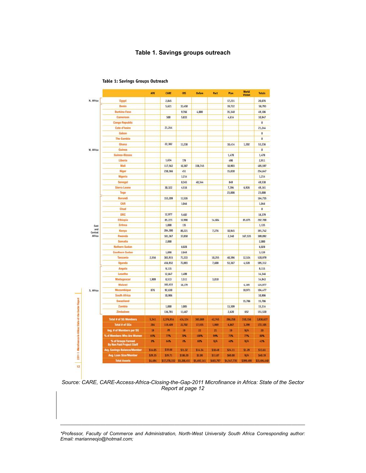#### **Table 1. Savings groups outreach**

|                                  |                                                 | <b>AFK</b> | <b>CARE</b>  | CRS         | Oxfam       | Pact      | Plan        | <b>WOTHE</b><br><b>Vision</b> | <b>Totals</b> |
|----------------------------------|-------------------------------------------------|------------|--------------|-------------|-------------|-----------|-------------|-------------------------------|---------------|
| N. Africa                        | Egypt                                           |            | 2,845        |             |             |           | 17,231      |                               | 20,076        |
|                                  | Benin                                           |            | 5,621        | 33,450      |             |           | 19,722      |                               | 58,793        |
|                                  | <b>Burkina Faso</b>                             |            |              | 9,766       | 4,000       |           | 35,340      |                               | 49,106        |
|                                  | Cameroon                                        |            | 500          | 5,833       |             |           | 4,614       |                               | 10,947        |
|                                  | <b>Congo Republic</b>                           |            |              |             |             |           |             |                               | o             |
|                                  | Cote d'Ivoire                                   |            | 21,244       |             |             |           |             |                               | 21,244        |
|                                  | Gabon                                           |            |              |             |             |           |             |                               | Ð             |
|                                  | <b>The Gambia</b>                               |            |              |             |             |           |             |                               | O             |
|                                  | Ghana                                           |            | 22,382       | 11,238      |             |           | 18,414      | 1,202                         | 53,236        |
| W. Africa                        | Guinea                                          |            |              |             |             |           |             |                               | $\theta$      |
|                                  | Guinea-Bissau                                   |            |              |             |             |           | 1,478       |                               | 1,478         |
|                                  | Liberia                                         |            | 1,634        | 779         |             |           | 498         |                               | 2,911         |
|                                  | Mali                                            |            | 117,562      | 10,387      | 338,745     |           | 18,903      |                               | 485,597       |
|                                  | Niger                                           |            | 238,366      | 451         |             |           | 15,830      |                               | 254,647       |
|                                  | Nigeria                                         |            |              | 1,214       |             |           |             |                               | 1,214         |
|                                  | Senegal                                         |            |              | 8,345       | 40,344      |           | 849         |                               | 49,538        |
|                                  | Sierra Leone                                    |            | 30,322       | 4,516       |             |           | 7,394       | 6,926                         | 49,161        |
|                                  | Togo                                            |            |              |             |             |           | 23,008      |                               | 23,008        |
|                                  | Burundi                                         |            | 153,209      | 11,526      |             |           |             |                               | 164,735       |
|                                  | CAR                                             |            |              | 1,046       |             |           |             |                               | 1,046         |
|                                  | Chad                                            |            |              |             |             |           |             |                               | $\mathbf{0}$  |
|                                  | DBC                                             |            | 12,977       | 5,402       |             |           |             |                               | 18,379        |
|                                  | Ethiopia                                        |            | 85,223       | 16,998      |             | 14,604    |             | 85,875                        | 202,700       |
| East<br>and<br>Central<br>Africa | Eritrea                                         |            | 1,000        | 135         |             |           |             |                               | 1,135         |
|                                  | Kenya                                           |            | 284,300      | 89,221      |             | 7,276     | 10,945      |                               | 391,742       |
|                                  | Rwanda                                          |            | 181,367      | 37,850      |             |           | 2,340       | 167,535                       | 389,092       |
|                                  | Somalia                                         |            | 2,000        |             |             |           |             |                               | 2,000         |
|                                  | Nothern Sudan                                   |            |              | 6,028       |             |           |             |                               | 6,028         |
|                                  | <b>Southern Sudan</b>                           |            | 1,090        | 2,049       |             |           |             |                               | 3,139         |
|                                  | Tanzania                                        | 2,556      | 383,915      | 71,333      |             | 10,255    | 40,396      | 12,524                        | 520,979       |
|                                  | Uganda                                          |            | 456,932      | 72,893      |             | 7,600     | 53,367      | 4,520                         | 595,312       |
|                                  | Annoia                                          |            | 9,115        |             |             |           |             |                               | 9,115         |
|                                  | Lesotho                                         |            | 12,847       | 1,499       |             |           |             |                               | 14,346        |
|                                  | Madagascar                                      | 1,909      | 8,513        | 1,511       |             | 3,010     |             |                               | 14,943        |
|                                  | Malawi                                          |            | 102,633      | 18,179      |             |           |             | 4,165                         | 124,977       |
| 5. Africa                        | Mozambigue                                      | 876        | 92,630       |             |             |           |             | 10,971                        | 104,477       |
|                                  | South Africa                                    |            | 10,906       |             |             |           |             |                               | 10,906        |
|                                  | Swaziland                                       |            |              |             |             |           |             | 15,786                        | 15,786        |
|                                  | Zambia                                          |            | 1,000        | 1,005       |             |           | 13,309      |                               | 15,314        |
|                                  | Zimbabwe                                        |            | 136,781      | 11,467      |             |           | 2,620       | 652                           | 151,520       |
|                                  | <b>Total # of SG Members</b>                    | 5,341      | 2,376,914    | 434,124     | 383,089     | 42,745    | 286,258     | 310,156                       | 3,838,627     |
|                                  | Total # of SGs                                  | 284        | 119,409      | 22,702      | 17,555      | 1,989     | 6,867       | 3,299                         | 172,105       |
|                                  | Avg. # of Members per SG                        | 19         | 20           | 19          | 22          | 21        | 19          | N/A                           | 20            |
|                                  | % of Members Who Are Women                      | 65%        | 77%          | 70%         | 100%        | 99%       | 73%         | 77%                           | 80%           |
|                                  | % of Groups Formed<br>By Non Paid Project Staff | 0%         | 64%          | 8%          | <b>60%</b>  | N/A       | 40%         | N/A                           | 43%           |
|                                  | Avg. Savings Balance/Member                     | \$14.05    | \$19.66      | \$11.32     | \$14.34     | \$10.49   | \$24.11     | \$1.29                        | \$13.61       |
|                                  | Avg. Loan Size/Momber                           | \$29.35    | 529.71       | \$108.20    | 52.00       | \$11.87   | \$60.00     | N/A                           | \$40.19       |
|                                  | <b>Total Assets</b>                             | \$4,494    | \$17,278,332 | \$5,288,451 | \$5,492,141 | \$483,797 | \$4,547,735 | \$399,490                     | \$33,494,440  |

#### Table 1: Savings Groups Outreach

*Source: CARE, CARE-Access-Africa-Closing-the-Gap-2011 Microfinance in Africa: State of the Sector Report at page 12*

*\*Professor, Faculty of Commerce and Administration, North-West University South Africa Corresponding author: Email: marianneojo@hotmail.com;*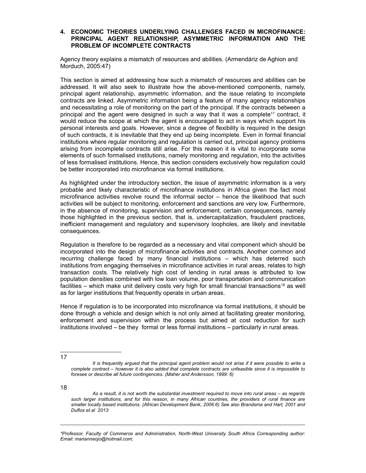#### **4. ECONOMIC THEORIES UNDERLYING CHALLENGES FACED IN MICROFINANCE: PRINCIPAL AGENT RELATIONSHIP, ASYMMETRIC INFORMATION AND THE PROBLEM OF INCOMPLETE CONTRACTS**

Agency theory explains a mismatch of resources and abilities. (Armendáriz de Aghion and Morduch, 2005:47)

This section is aimed at addressing how such a mismatch of resources and abilities can be addressed. It will also seek to illustrate how the above-mentioned components, namely, principal agent relationship, asymmetric information, and the issue relating to incomplete contracts are linked. Asymmetric information being a feature of many agency relationships and necessitating a role of monitoring on the part of the principal. If the contracts between a principal and the agent were designed in such a way that it was a complete<sup>17</sup> contract, it would reduce the scope at which the agent is encouraged to act in ways which support his personal interests and goals. However, since a degree of flexibility is required in the design of such contracts, it is inevitable that they end up being incomplete. Even in formal financial institutions where regular monitoring and regulation is carried out, principal agency problems arising from incomplete contracts still arise. For this reason it is vital to incorporate some elements of such formalised institutions, namely monitoring and regulation, into the activities of less formalised institutions. Hence, this section considers exclusively how regulation could be better incorporated into microfinance via formal institutions.

As highlighted under the introductory section, the issue of asymmetric information is a very probable and likely characteristic of microfinance institutions in Africa given the fact most microfinance activities revolve round the informal sector – hence the likelihood that such activities will be subject to monitoring, enforcement and sanctions are very low. Furthermore, in the absence of monitoring, supervision and enforcement, certain consequences, namely those highlighted in the previous section, that is, undercapitalization, fraudulent practices, inefficient management and regulatory and supervisory loopholes, are likely and inevitable consequences.

Regulation is therefore to be regarded as a necessary and vital component which should be incorporated into the design of microfinance activities and contracts. Another common and recurring challenge faced by many financial institutions – which has deterred such institutions from engaging themselves in microfinance activities in rural areas, relates to high transaction costs. The relatively high cost of lending in rural areas is attributed to low population densities combined with low loan volume, poor transportation and communication facilities – which make unit delivery costs very high for small financial transactions<sup>18</sup> as well as for larger institutions that frequently operate in urban areas.

Hence if regulation is to be incorporated into microfinance via formal institutions, it should be done through a vehicle and design which is not only aimed at facilitating greater monitoring, enforcement and supervision within the process but aimed at cost reduction for such institutions involved – be they formal or less formal institutions – particularly in rural areas.

17

18

*It is frequently argued that the principal agent problem would not arise if it were possible to write a complete contract – however it is also added that complete contracts are unfeasible since it is impossible to foresee or describe all future contingencies. (Maher and Andersson, 1999: 6)*

*As a result, it is not worth the substantial investment required to move into rural areas – as regards such larger institutions, and for this reason, in many African countries, the providers of rural finance are smaller locally based institutions. (African Development Bank, 2006:6) See also Brandsma and Hart, 2001 and Duflos et al 2013*

*<sup>\*</sup>Professor, Faculty of Commerce and Administration, North-West University South Africa Corresponding author: Email: marianneojo@hotmail.com;*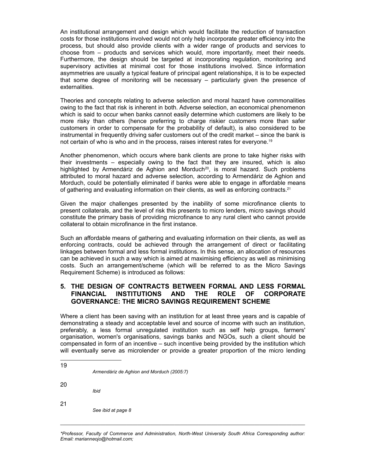An institutional arrangement and design which would facilitate the reduction of transaction costs for those institutions involved would not only help incorporate greater efficiency into the process, but should also provide clients with a wider range of products and services to choose from – products and services which would, more importantly, meet their needs. Furthermore, the design should be targeted at incorporating regulation, monitoring and supervisory activities at minimal cost for those institutions involved. Since information asymmetries are usually a typical feature of principal agent relationships, it is to be expected that some degree of monitoring will be necessary – particularly given the presence of externalities.

Theories and concepts relating to adverse selection and moral hazard have commonalities owing to the fact that risk is inherent in both. Adverse selection, an economical phenomenon which is said to occur when banks cannot easily determine which customers are likely to be more risky than others (hence preferring to charge riskier customers more than safer customers in order to compensate for the probability of default), is also considered to be instrumental in frequently driving safer customers out of the credit market – since the bank is not certain of who is who and in the process, raises interest rates for everyone.<sup>19</sup>

Another phenomenon, which occurs where bank clients are prone to take higher risks with their investments – especially owing to the fact that they are insured, which is also highlighted by Armendáriz de Aghion and Morduch<sup>20</sup>, is moral hazard. Such problems attributed to moral hazard and adverse selection, according to Armendáriz de Aghion and Morduch, could be potentially eliminated if banks were able to engage in affordable means of gathering and evaluating information on their clients, as well as enforcing contracts.<sup>21</sup>

Given the major challenges presented by the inability of some microfinance clients to present collaterals, and the level of risk this presents to micro lenders, micro savings should constitute the primary basis of providing microfinance to any rural client who cannot provide collateral to obtain microfinance in the first instance.

Such an affordable means of gathering and evaluating information on their clients, as well as enforcing contracts, could be achieved through the arrangement of direct or facilitating linkages between formal and less formal institutions. In this sense, an allocation of resources can be achieved in such a way which is aimed at maximising efficiency as well as minimising costs. Such an arrangement/scheme (which will be referred to as the Micro Savings Requirement Scheme) is introduced as follows:

# **5. THE DESIGN OF CONTRACTS BETWEEN FORMAL AND LESS FORMAL FINANCIAL INSTITUTIONS AND THE ROLE OF CORPORATE GOVERNANCE: THE MICRO SAVINGS REQUIREMENT SCHEME**

Where a client has been saving with an institution for at least three years and is capable of demonstrating a steady and acceptable level and source of income with such an institution, preferably, a less formal unregulated institution such as self help groups, farmers' organisation, women's organisations, savings banks and NGOs, such a client should be compensated in form of an incentive – such incentive being provided by the institution which will eventually serve as microlender or provide a greater proportion of the micro lending

| 19 |        |
|----|--------|
|    | Armend |

*Armendáriz de Aghion and Morduch (2005:7)*

20

*Ibid* 

21

*See ibid at page 8*

*<sup>\*</sup>Professor, Faculty of Commerce and Administration, North-West University South Africa Corresponding author: Email: marianneojo@hotmail.com;*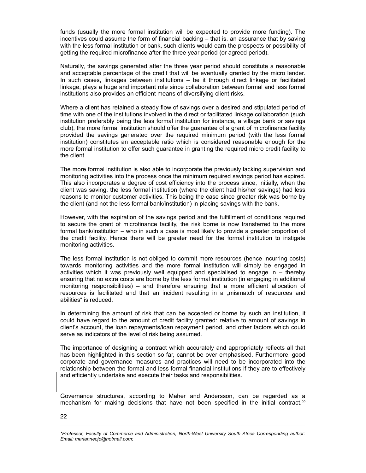funds (usually the more formal institution will be expected to provide more funding). The incentives could assume the form of financial backing – that is, an assurance that by saving with the less formal institution or bank, such clients would earn the prospects or possibility of getting the required microfinance after the three year period (or agreed period).

Naturally, the savings generated after the three year period should constitute a reasonable and acceptable percentage of the credit that will be eventually granted by the micro lender. In such cases, linkages between institutions – be it through direct linkage or facilitated linkage, plays a huge and important role since collaboration between formal and less formal institutions also provides an efficient means of diversifying client risks.

Where a client has retained a steady flow of savings over a desired and stipulated period of time with one of the institutions involved in the direct or facilitated linkage collaboration (such institution preferably being the less formal institution for instance, a village bank or savings club), the more formal institution should offer the guarantee of a grant of microfinance facility provided the savings generated over the required minimum period (with the less formal institution) constitutes an acceptable ratio which is considered reasonable enough for the more formal institution to offer such guarantee in granting the required micro credit facility to the client.

The more formal institution is also able to incorporate the previously lacking supervision and monitoring activities into the process once the minimum required savings period has expired. This also incorporates a degree of cost efficiency into the process since, initially, when the client was saving, the less formal institution (where the client had his/her savings) had less reasons to monitor customer activities. This being the case since greater risk was borne by the client (and not the less formal bank/institution) in placing savings with the bank.

However, with the expiration of the savings period and the fulfillment of conditions required to secure the grant of microfinance facility, the risk borne is now transferred to the more formal bank/institution – who in such a case is most likely to provide a greater proportion of the credit facility. Hence there will be greater need for the formal institution to instigate monitoring activities.

The less formal institution is not obliged to commit more resources (hence incurring costs) towards monitoring activities and the more formal institution will simply be engaged in activities which it was previously well equipped and specialised to engage in – thereby ensuring that no extra costs are borne by the less formal institution (in engaging in additional monitoring responsibilities) – and therefore ensuring that a more efficient allocation of resources is facilitated and that an incident resulting in a "mismatch of resources and abilities" is reduced.

In determining the amount of risk that can be accepted or borne by such an institution, it could have regard to the amount of credit facility granted: relative to amount of savings in client's account, the loan repayments/loan repayment period, and other factors which could serve as indicators of the level of risk being assumed.

The importance of designing a contract which accurately and appropriately reflects all that has been highlighted in this section so far, cannot be over emphasised. Furthermore, good corporate and governance measures and practices will need to be incorporated into the relationship between the formal and less formal financial institutions if they are to effectively and efficiently undertake and execute their tasks and responsibilities.

Governance structures, according to Maher and Andersson, can be regarded as a mechanism for making decisions that have not been specified in the initial contract. $22$ 

22

*<sup>\*</sup>Professor, Faculty of Commerce and Administration, North-West University South Africa Corresponding author: Email: marianneojo@hotmail.com;*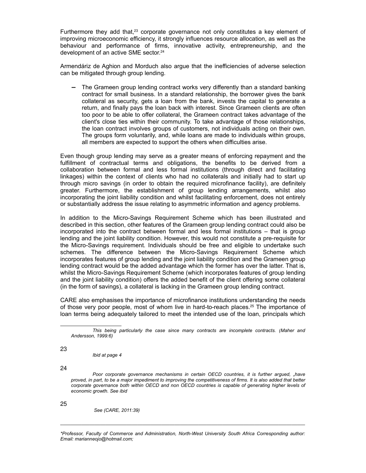Furthermore they add that, $23$  corporate governance not only constitutes a key element of improving microeconomic efficiency, it strongly influences resource allocation, as well as the behaviour and performance of firms, innovative activity, entrepreneurship, and the development of an active SME sector.<sup>24</sup>

Armendáriz de Aghion and Morduch also argue that the inefficiencies of adverse selection can be mitigated through group lending.

The Grameen group lending contract works very differently than a standard banking contract for small business. In a standard relationship, the borrower gives the bank collateral as security, gets a loan from the bank, invests the capital to generate a return, and finally pays the loan back with interest. Since Grameen clients are often too poor to be able to offer collateral, the Grameen contract takes advantage of the client's close ties within their community. To take advantage of those relationships, the loan contract involves groups of customers, not individuals acting on their own. The groups form voluntarily, and, while loans are made to individuals within groups, all members are expected to support the others when difficulties arise.

Even though group lending may serve as a greater means of enforcing repayment and the fulfillment of contractual terms and obligations, the benefits to be derived from a collaboration between formal and less formal institutions (through direct and facilitating linkages) within the context of clients who had no collaterals and initially had to start up through micro savings (in order to obtain the required microfinance facility), are definitely greater. Furthermore, the establishment of group lending arrangements, whilst also incorporating the joint liability condition and whilst facilitating enforcement, does not entirely or substantially address the issue relating to asymmetric information and agency problems.

In addition to the Micro-Savings Requirement Scheme which has been illustrated and described in this section, other features of the Grameen group lending contract could also be incorporated into the contract between formal and less formal institutions – that is group lending and the joint liability condition. However, this would not constitute a pre-requisite for the Micro-Savings requirement. Individuals should be free and eligible to undertake such schemes. The difference between the Micro-Savings Requirement Scheme which incorporates features of group lending and the joint liability condition and the Grameen group lending contract would be the added advantage which the former has over the latter. That is, whilst the Micro-Savings Requirement Scheme (which incorporates features of group lending and the joint liability condition) offers the added benefit of the client offering some collateral (in the form of savings), a collateral is lacking in the Grameen group lending contract.

CARE also emphasises the importance of microfinance institutions understanding the needs of those very poor people, most of whom live in hard-to-reach places.25 The importance of loan terms being adequately tailored to meet the intended use of the loan, principals which

23

*Ibid at page 4* 

24

*Poor corporate governance mechanisms in certain OECD countries, it is further argued, "have proved, in part, to be a major impediment to improving the competitiveness of firms. It is also added that better corporate governance both within OECD and non OECD countries is capable of generating higher levels of economic growth. See ibid*

25

 *See (CARE, 2011:39)*

*\*Professor, Faculty of Commerce and Administration, North-West University South Africa Corresponding author: Email: marianneojo@hotmail.com;*

*This being particularly the case since many contracts are incomplete contracts. (Maher and Andersson, 1999:6)*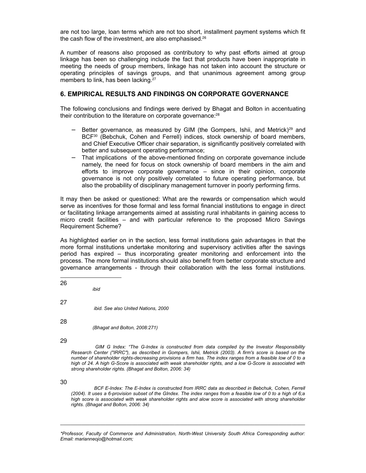are not too large, loan terms which are not too short, installment payment systems which fit the cash flow of the investment, are also emphasised.<sup>26</sup>

A number of reasons also proposed as contributory to why past efforts aimed at group linkage has been so challenging include the fact that products have been inappropriate in meeting the needs of group members, linkage has not taken into account the structure or operating principles of savings groups, and that unanimous agreement among group members to link, has been lacking.<sup>27</sup>

#### **6. EMPIRICAL RESULTS AND FINDINGS ON CORPORATE GOVERNANCE**

The following conclusions and findings were derived by Bhagat and Bolton in accentuating their contribution to the literature on corporate governance:<sup>28</sup>

- Better governance, as measured by GIM (the Gompers, Ishii, and Metrick)<sup>29</sup> and BCF<sup>30</sup> (Bebchuk, Cohen and Ferrell) indices, stock ownership of board members, and Chief Executive Officer chair separation, is significantly positively correlated with better and subsequent operating performance;
- That implications of the above-mentioned finding on corporate governance include namely, the need for focus on stock ownership of board members in the aim and efforts to improve corporate governance – since in their opinion, corporate governance is not only positively correlated to future operating performance, but also the probability of disciplinary management turnover in poorly performing firms.

It may then be asked or questioned: What are the rewards or compensation which would serve as incentives for those formal and less formal financial institutions to engage in direct or facilitating linkage arrangements aimed at assisting rural inhabitants in gaining access to micro credit facilities – and with particular reference to the proposed Micro Savings Requirement Scheme?

As highlighted earlier on in the section, less formal institutions gain advantages in that the more formal institutions undertake monitoring and supervisory activities after the savings period has expired – thus incorporating greater monitoring and enforcement into the process. The more formal institutions should also benefit from better corporate structure and governance arrangements - through their collaboration with the less formal institutions.

26 *ibid* 27  *ibid. See also United Nations, 2000*

*(Bhagat and Bolton, 2008:271)*

29

28

 *GIM G Index: "The G-Index is constructed from data compiled by the Investor Responsibility Research Center ("IRRC"), as described in Gompers, Ishii, Metrick (2003). A firm's score is based on the number of shareholder rights-decreasing provisions a firm has. The index ranges from a feasible low of 0 to a high of 24. A high G-Score is associated with weak shareholder rights, and a low G-Score is associated with strong shareholder rights. (Bhagat and Bolton, 2006: 34)* 

30

 *BCF E-Index: The E-Index is constructed from IRRC data as described in Bebchuk, Cohen, Ferrell (2004). It uses a 6-provision subset of the GIndex. The index ranges from a feasible low of 0 to a high of 6;a high score is associated with weak shareholder rights and alow score is associated with strong shareholder rights. (Bhagat and Bolton, 2006: 34)* 

*\*Professor, Faculty of Commerce and Administration, North-West University South Africa Corresponding author: Email: marianneojo@hotmail.com;*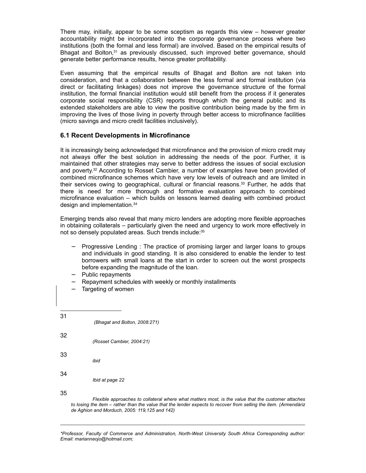There may, initially, appear to be some sceptism as regards this view – however greater accountability might be incorporated into the corporate governance process where two institutions (both the formal and less formal) are involved. Based on the empirical results of Bhagat and Bolton,<sup>31</sup> as previously discussed, such improved better governance, should generate better performance results, hence greater profitability.

Even assuming that the empirical results of Bhagat and Bolton are not taken into consideration, and that a collaboration between the less formal and formal institution (via direct or facilitating linkages) does not improve the governance structure of the formal institution, the formal financial institution would still benefit from the process if it generates corporate social responsibility (CSR) reports through which the general public and its extended stakeholders are able to view the positive contribution being made by the firm in improving the lives of those living in poverty through better access to microfinance facilities (micro savings and micro credit facilities inclusively).

# **6.1 Recent Developments in Microfinance**

It is increasingly being acknowledged that microfinance and the provision of micro credit may not always offer the best solution in addressing the needs of the poor. Further, it is maintained that other strategies may serve to better address the issues of social exclusion and poverty.32 According to Rosset Cambier, a number of examples have been provided of combined microfinance schemes which have very low levels of outreach and are limited in their services owing to geographical, cultural or financial reasons.<sup>33</sup> Further, he adds that there is need for more thorough and formative evaluation approach to combined microfinance evaluation – which builds on lessons learned dealing with combined product design and implementation.<sup>34</sup>

Emerging trends also reveal that many micro lenders are adopting more flexible approaches in obtaining collaterals – particularly given the need and urgency to work more effectively in not so densely populated areas. Such trends include:<sup>35</sup>

- − Progressive Lending : The practice of promising larger and larger loans to groups and individuals in good standing. It is also considered to enable the lender to test borrowers with small loans at the start in order to screen out the worst prospects before expanding the magnitude of the loan.
- − Public repayments
- Repayment schedules with weekly or monthly installments
- Targeting of women

| 31 | (Bhagat and Bolton, 2008:271) |  |
|----|-------------------------------|--|
| 32 | (Rosset Cambier, 2004:21)     |  |
| 33 | ibid                          |  |
| 34 | Ibid at page 22               |  |
| 35 |                               |  |

*Flexible approaches to collateral where what matters most, is the value that the customer attaches to losing the item – rather than the value that the lender expects to recover from selling the item. (Armendáriz de Aghion and Morduch, 2005: 119,125 and 142)*

*\*Professor, Faculty of Commerce and Administration, North-West University South Africa Corresponding author: Email: marianneojo@hotmail.com;*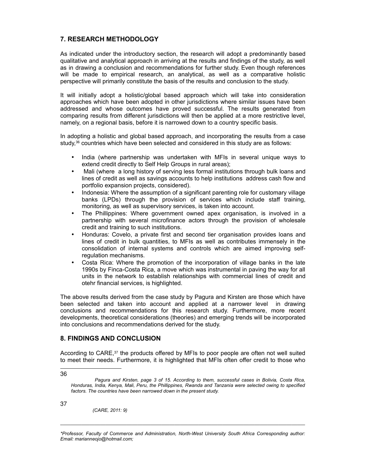# **7. RESEARCH METHODOLOGY**

As indicated under the introductory section, the research will adopt a predominantly based qualitative and analytical approach in arriving at the results and findings of the study, as well as in drawing a conclusion and recommendations for further study. Even though references will be made to empirical research, an analytical, as well as a comparative holistic perspective will primarily constitute the basis of the results and conclusion to the study.

It will initially adopt a holistic/global based approach which will take into consideration approaches which have been adopted in other jurisdictions where similar issues have been addressed and whose outcomes have proved successful. The results generated from comparing results from different jurisdictions will then be applied at a more restrictive level, namely, on a regional basis, before it is narrowed down to a country specific basis.

In adopting a holistic and global based approach, and incorporating the results from a case study,<sup>36</sup> countries which have been selected and considered in this study are as follows:

- India (where partnership was undertaken with MFIs in several unique ways to extend credit directly to Self Help Groups in rural areas);
- Mali (where a long history of serving less formal institutions through bulk loans and lines of credit as well as savings accounts to help institutions address cash flow and portfolio expansion projects, considered).
- Indonesia: Where the assumption of a significant parenting role for customary village banks (LPDs) through the provision of services which include staff training, monitoring, as well as supervisory services, is taken into account.
- The Phillippines: Where government owned apex organisation, is involved in a partnership with several microfinance actors through the provision of wholesale credit and training to such institutions.
- Honduras: Covelo, a private first and second tier organisation provides loans and lines of credit in bulk quantities, to MFIs as well as contributes immensely in the consolidation of internal systems and controls which are aimed improving selfregulation mechanisms.
- Costa Rica: Where the promotion of the incorporation of village banks in the late 1990s by Finca-Costa Rica, a move which was instrumental in paving the way for all units in the network to establish relationships with commercial lines of credit and otehr financial services, is highlighted.

The above results derived from the case study by Pagura and Kirsten are those which have been selected and taken into account and applied at a narrower level in drawing conclusions and recommendations for this research study. Furthermore, more recent developments, theoretical considerations (theories) and emerging trends will be incorporated into conclusions and recommendations derived for the study.

## **8. FINDINGS AND CONCLUSION**

According to CARE,<sup>37</sup> the products offered by MFIs to poor people are often not well suited to meet their needs. Furthermore, it is highlighted that MFIs often offer credit to those who

37

36

*(CARE, 2011: 9)*

*Pagura and Kirsten, page 3 of 15. According to them, successful cases in Bolivia, Costa Rica, Honduras, India, Kenya, Mali, Peru, the Phillippines, Rwanda and Tanzania were selected owing to specified factors. The countries have been narrowed down in the present study.*

*<sup>\*</sup>Professor, Faculty of Commerce and Administration, North-West University South Africa Corresponding author: Email: marianneojo@hotmail.com;*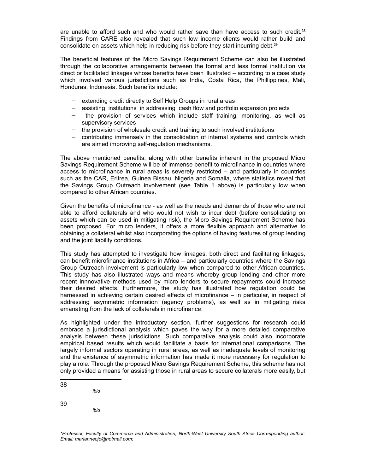are unable to afford such and who would rather save than have access to such credit. $38$ Findings from CARE also revealed that such low income clients would rather build and consolidate on assets which help in reducing risk before they start incurring debt.<sup>39</sup>

The beneficial features of the Micro Savings Requirement Scheme can also be illustrated through the collaborative arrangements between the formal and less formal institution via direct or facilitated linkages whose benefits have been illustrated – according to a case study which involved various jurisdictions such as India, Costa Rica, the Phillippines, Mali, Honduras, Indonesia. Such benefits include:

- extending credit directly to Self Help Groups in rural areas
- assisting institutions in addressing cash flow and portfolio expansion projects
- the provision of services which include staff training, monitoring, as well as supervisory services
- − the provision of wholesale credit and training to such involved institutions
- − contributing immensely in the consolidation of internal systems and controls which are aimed improving self-regulation mechanisms.

The above mentioned benefits, along with other benefits inherent in the proposed Micro Savings Requirement Scheme will be of immense benefit to microfinance in countries where access to microfinance in rural areas is severely restricted – and particularly in countries such as the CAR, Eritrea, Guinea Bissau, Nigeria and Somalia, where statistics reveal that the Savings Group Outreach involvement (see Table 1 above) is particularly low when compared to other African countries.

Given the benefits of microfinance - as well as the needs and demands of those who are not able to afford collaterals and who would not wish to incur debt (before consolidating on assets which can be used in mitigating risk), the Micro Savings Requirement Scheme has been proposed. For micro lenders, it offers a more flexible approach and alternative to obtaining a collateral whilst also incorporating the options of having features of group lending and the joint liability conditions.

This study has attempted to investigate how linkages, both direct and facilitating linkages, can benefit microfinance institutions in Africa – and particularly countries where the Savings Group Outreach involvement is particularly low when compared to other African countries. This study has also illustrated ways and means whereby group lending and other more recent innnovative methods used by micro lenders to secure repayments could increase their desired effects. Furthermore, the study has illustrated how regulation could be harnessed in achieving certain desired effects of microfinance – in particular, in respect of addressing asymmetric information (agency problems), as well as in mitigating risks emanating from the lack of collaterals in microfinance.

As highlighted under the introductory section, further suggestions for research could embrace a jurisdictional analysis which paves the way for a more detailed comparative analysis between these jurisdictions. Such comparative analysis could also incorporate empirical based results which would facilitate a basis for international comparisons. The largely informal sectors operating in rural areas, as well as inadequate levels of monitoring and the existence of asymmetric information has made it more necessary for regulation to play a role. Through the proposed Micro Savings Requirement Scheme, this scheme has not only provided a means for assisting those in rural areas to secure collaterals more easily, but

38

*ibid*

*ibid*

39

*<sup>\*</sup>Professor, Faculty of Commerce and Administration, North-West University South Africa Corresponding author: Email: marianneojo@hotmail.com;*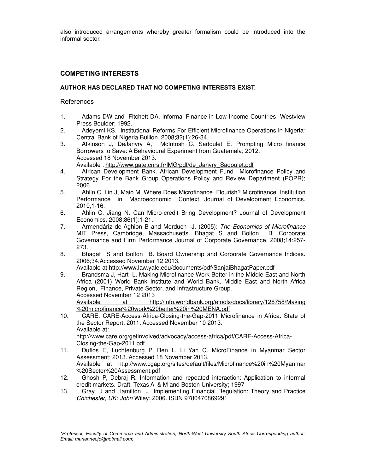also introduced arrangements whereby greater formalism could be introduced into the informal sector.

# **COMPETING INTERESTS**

## **AUTHOR HAS DECLARED THAT NO COMPETING INTERESTS EXIST.**

#### References

- 1. Adams DW and Fitchett DA. Informal Finance in Low Income Countries Westview Press Boulder; 1992.
- 2. Adeyemi KS. Institutional Reforms For Efficient Microfinance Operations in Nigeria" Central Bank of Nigeria Bullion. 2008;32(1):26-34.
- 3. Atkinson J, DeJanvry A, McIntosh C, Sadoulet E. Prompting Micro finance Borrowers to Save: A Behavioural Experiment from Guatemala; 2012. Accessed 18 November 2013.

Available : http://www.gate.cnrs.fr/IMG/pdf/de\_Janvry\_Sadoulet.pdf

- 4. African Development Bank. African Development Fund Microfinance Policy and Strategy For the Bank Group Operations Policy and Review Department (POPR); 2006.
- 5. Ahlin C, Lin J, Maio M. Where Does Microfinance Flourish? Microfinance Institution Performance in Macroeconomic Context. Journal of Development Economics. 2010;1-16.
- 6. Ahlin C, Jiang N. Can Micro-credit Bring Development? Journal of Development Economics. 2008;86(1):1-21..
- 7. Armendáriz de Aghion B and Morduch J. (2005): The Economics of Microfinance<br>MIT Press, Cambridge, Massachusetts. Bhagat S and Bolton B. Corporate MIT Press, Cambridge, Massachusetts. Bhagat S and Bolton Governance and Firm Performance Journal of Corporate Governance. 2008;14:257- 273.
- 8. Bhagat S and Bolton B. Board Ownership and Corporate Governance Indices. 2006;34.Accessed November 12 2013.

Available at http://www.law.yale.edu/documents/pdf/SanjaiBhagatPaper.pdf

9. Brandsma J, Hart L. Making Microfinance Work Better in the Middle East and North Africa (2001) World Bank Institute and World Bank, Middle East and North Africa Region, Finance, Private Sector, and Infrastructure Group. Accessed November 12 2013

Available at http://info.worldbank.org/etools/docs/library/128758/Making %20microfinance%20work%20better%20in%20MENA.pdf

- 10. CARE. CARE-Access-Africa-Closing-the-Gap-2011 Microfinance in Africa: State of the Sector Report; 2011. Accessed November 10 2013. Available at: http://www.care.org/getinvolved/advocacy/access-africa/pdf/CARE-Access-Africa-Closing-the-Gap-2011.pdf
- 11. Duflos E, Luchtenburg P, Ren L, Li Yan C. MicroFinance in Myanmar Sector Assessment; 2013. Accessed 18 November 2013. Available at http://www.cgap.org/sites/default/files/Microfinance%20in%20Myanmar %20Sector%20Assessment.pdf
- 12. Ghosh P, Debraj R. Information and repeated interaction: Application to informal credit markets. Draft, Texas A & M and Boston University; 1997
- 13. Gray J and Hamilton J Implementing Financial Regulation: Theory and Practice Chichester, UK: John Wiley; 2006. ISBN 9780470869291

*<sup>\*</sup>Professor, Faculty of Commerce and Administration, North-West University South Africa Corresponding author: Email: marianneojo@hotmail.com;*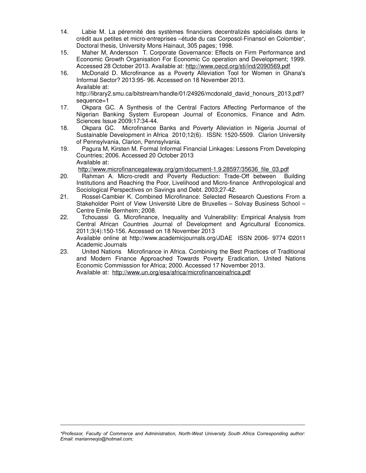- 14. Labie M. La pérennité des systèmes financiers decentralizés spécialisés dans le crédit aux petites et micro-entreprises –étude du cas Corposol-Finansol en Colombie", Doctoral thesis, University Mons Hainaut, 305 pages; 1998.
- 15. Maher M, Andersson T. Corporate Governance: Effects on Firm Performance and Economic Growth Organisation For Economic Co operation and Development; 1999. Accessed 28 October 2013. Available at: http://www.oecd.org/sti/ind/2090569.pdf
- 16. McDonald D. Microfinance as a Poverty Alleviation Tool for Women in Ghana's Informal Sector? 2013:95- 96. Accessed on 18 November 2013. Available at: http://library2.smu.ca/bitstream/handle/01/24926/mcdonald\_david\_honours\_2013.pdf?

sequence=1

- 17. Okpara GC. A Synthesis of the Central Factors Affecting Performance of the Nigerian Banking System European Journal of Economics, Finance and Adm. Sciences Issue 2009;17:34-44.
- 18. Okpara GC. Microfinance Banks and Poverty Alleviation in Nigeria Journal of Sustainable Development in Africa 2010;12(6). ISSN: 1520-5509. Clarion University of Pennsylvania, Clarion, Pennsylvania.
- 19. Pagura M, Kirsten M. Formal Informal Financial Linkages: Lessons From Developing Countries; 2006. Accessed 20 October 2013 Available at:

http://www.microfinancegateway.org/gm/document-1.9.28597/35636\_file\_03.pdf

- 20. Rahman A. Micro-credit and Poverty Reduction: Trade-Off between Building Institutions and Reaching the Poor, Livelihood and Micro-finance Anthropological and Sociological Perspectives on Savings and Debt. 2003;27-42.
- 21. Rossel-Cambier K. Combined Microfinance: Selected Research Questions From a Stakeholder Point of View Université Libre de Bruxelles – Solvay Business School – Centre Emile Bernheim; 2008.
- 22. Tchouassi G. Microfinance, Inequality and Vulnerability: Empirical Analysis from Central African Countries Journal of Development and Agricultural Economics. 2011;3(4):150-156. Accessed on 18 November 2013 Available online at http://www.academicjournals.org/JDAE ISSN 2006- 9774 ©2011 Academic Journals
- 23. United Nations Microfinance in Africa. Combining the Best Practices of Traditional and Modern Finance Approached Towards Poverty Eradication, United Nations Economic Commisssion for Africa; 2000. Accessed 17 November 2013. Available at: http://www.un.org/esa/africa/microfinanceinafrica.pdf